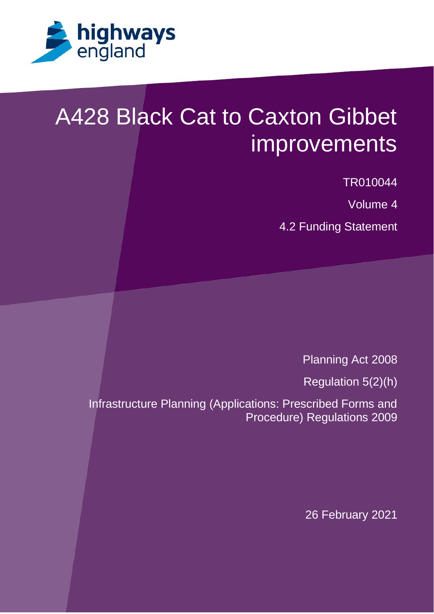

# A428 Black Cat to Caxton Gibbet improvements

TR010044

Volume 4

4.2 Funding Statement

Planning Act 2008

Regulation 5(2)(h)

Infrastructure Planning (Applications: Prescribed Forms and Procedure) Regulations 2009

26 February 2021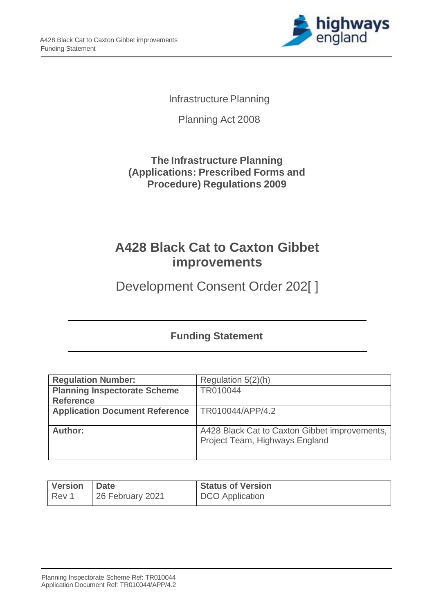

Infrastructure Planning

Planning Act 2008

### **The Infrastructure Planning (Applications: Prescribed Forms and Procedure) Regulations 2009**

# **A428 Black Cat to Caxton Gibbet improvements**

Development Consent Order 202[ ]

### **Funding Statement**

| <b>Regulation Number:</b>             | Regulation 5(2)(h)                            |
|---------------------------------------|-----------------------------------------------|
| <b>Planning Inspectorate Scheme</b>   | TR010044                                      |
| <b>Reference</b>                      |                                               |
| <b>Application Document Reference</b> | TR010044/APP/4.2                              |
|                                       |                                               |
| Author:                               | A428 Black Cat to Caxton Gibbet improvements, |
|                                       | Project Team, Highways England                |
|                                       |                                               |
|                                       |                                               |

| Version Date |                  | <b>Status of Version</b> |
|--------------|------------------|--------------------------|
| Rev 1        | 26 February 2021 | DCO Application          |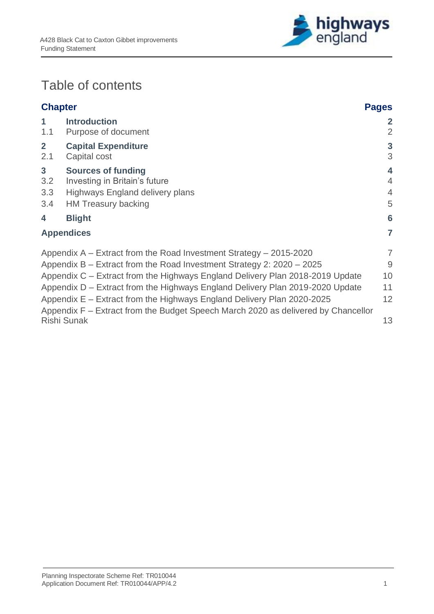

### Table of contents

| <b>Chapter</b>                      |                                                                                                                                                                                                                                                                                                                                                                                                                                                                                     | <b>Pages</b>                               |
|-------------------------------------|-------------------------------------------------------------------------------------------------------------------------------------------------------------------------------------------------------------------------------------------------------------------------------------------------------------------------------------------------------------------------------------------------------------------------------------------------------------------------------------|--------------------------------------------|
| $\mathbf{1}$<br>1.1                 | <b>Introduction</b><br>Purpose of document                                                                                                                                                                                                                                                                                                                                                                                                                                          | $\overline{2}$<br>$\overline{2}$           |
| 2 <sup>1</sup><br>2.1               | <b>Capital Expenditure</b><br>Capital cost                                                                                                                                                                                                                                                                                                                                                                                                                                          | 3<br>3                                     |
| 3 <sup>1</sup><br>3.2<br>3.3<br>3.4 | <b>Sources of funding</b><br>Investing in Britain's future<br>Highways England delivery plans<br><b>HM Treasury backing</b>                                                                                                                                                                                                                                                                                                                                                         | 4<br>$\overline{4}$<br>$\overline{4}$<br>5 |
| 4                                   | <b>Blight</b>                                                                                                                                                                                                                                                                                                                                                                                                                                                                       | 6                                          |
|                                     | <b>Appendices</b>                                                                                                                                                                                                                                                                                                                                                                                                                                                                   | 7                                          |
|                                     | Appendix $A -$ Extract from the Road Investment Strategy $-2015-2020$<br>Appendix $B -$ Extract from the Road Investment Strategy 2: 2020 $-$ 2025<br>Appendix C – Extract from the Highways England Delivery Plan 2018-2019 Update<br>Appendix D – Extract from the Highways England Delivery Plan 2019-2020 Update<br>Appendix E – Extract from the Highways England Delivery Plan 2020-2025<br>Appendix F – Extract from the Budget Speech March 2020 as delivered by Chancellor | 7<br>9<br>10<br>11<br>12                   |
|                                     | <b>Rishi Sunak</b>                                                                                                                                                                                                                                                                                                                                                                                                                                                                  | 13                                         |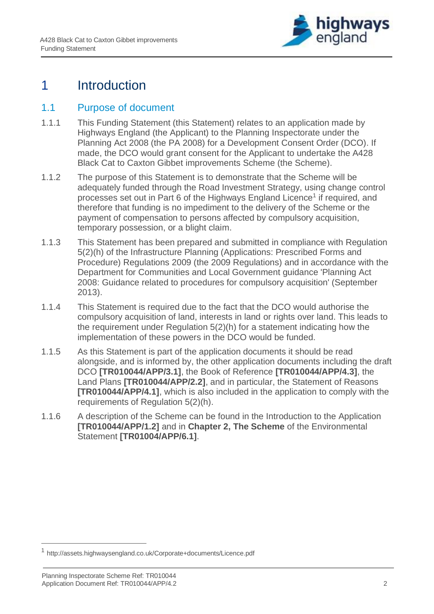

### <span id="page-3-0"></span>1 Introduction

#### <span id="page-3-1"></span>1.1 Purpose of document

- 1.1.1 This Funding Statement (this Statement) relates to an application made by Highways England (the Applicant) to the Planning Inspectorate under the Planning Act 2008 (the PA 2008) for a Development Consent Order (DCO). If made, the DCO would grant consent for the Applicant to undertake the A428 Black Cat to Caxton Gibbet improvements Scheme (the Scheme).
- 1.1.2 The purpose of this Statement is to demonstrate that the Scheme will be adequately funded through the Road Investment Strategy, using change control processes set out in Part 6 of the Highways England Licence<sup>1</sup> if required, and therefore that funding is no impediment to the delivery of the Scheme or the payment of compensation to persons affected by compulsory acquisition, temporary possession, or a blight claim.
- 1.1.3 This Statement has been prepared and submitted in compliance with Regulation 5(2)(h) of the Infrastructure Planning (Applications: Prescribed Forms and Procedure) Regulations 2009 (the 2009 Regulations) and in accordance with the Department for Communities and Local Government guidance 'Planning Act 2008: Guidance related to procedures for compulsory acquisition' (September 2013).
- 1.1.4 This Statement is required due to the fact that the DCO would authorise the compulsory acquisition of land, interests in land or rights over land. This leads to the requirement under Regulation 5(2)(h) for a statement indicating how the implementation of these powers in the DCO would be funded.
- 1.1.5 As this Statement is part of the application documents it should be read alongside, and is informed by, the other application documents including the draft DCO **[TR010044/APP/3.1]**, the Book of Reference **[TR010044/APP/4.3]**, the Land Plans **[TR010044/APP/2.2]**, and in particular, the Statement of Reasons **[TR010044/APP/4.1]**, which is also included in the application to comply with the requirements of Regulation 5(2)(h).
- 1.1.6 A description of the Scheme can be found in the Introduction to the Application **[TR010044/APP/1.2]** and in **Chapter 2, The Scheme** of the Environmental Statement **[TR01004/APP/6.1]**.

<sup>1</sup> http://assets.highwaysengland.co.uk/Corporate+documents/Licence.pdf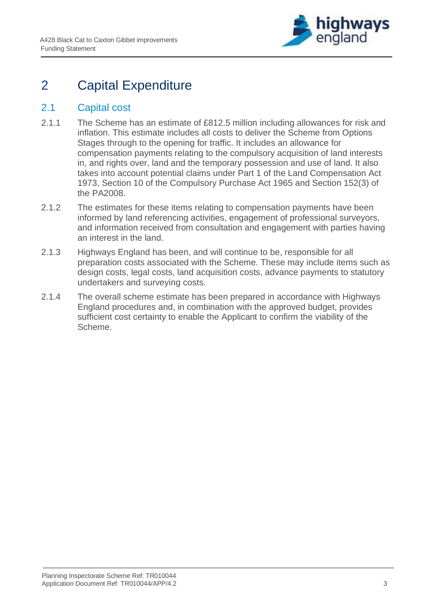

## <span id="page-4-0"></span>2 Capital Expenditure

#### <span id="page-4-1"></span>2.1 Capital cost

- 2.1.1 The Scheme has an estimate of £812.5 million including allowances for risk and inflation. This estimate includes all costs to deliver the Scheme from Options Stages through to the opening for traffic. It includes an allowance for compensation payments relating to the compulsory acquisition of land interests in, and rights over, land and the temporary possession and use of land. It also takes into account potential claims under Part 1 of the Land Compensation Act 1973, Section 10 of the Compulsory Purchase Act 1965 and Section 152(3) of the PA2008.
- 2.1.2 The estimates for these items relating to compensation payments have been informed by land referencing activities, engagement of professional surveyors, and information received from consultation and engagement with parties having an interest in the land.
- 2.1.3 Highways England has been, and will continue to be, responsible for all preparation costs associated with the Scheme. These may include items such as design costs, legal costs, land acquisition costs, advance payments to statutory undertakers and surveying costs.
- 2.1.4 The overall scheme estimate has been prepared in accordance with Highways England procedures and, in combination with the approved budget, provides sufficient cost certainty to enable the Applicant to confirm the viability of the Scheme.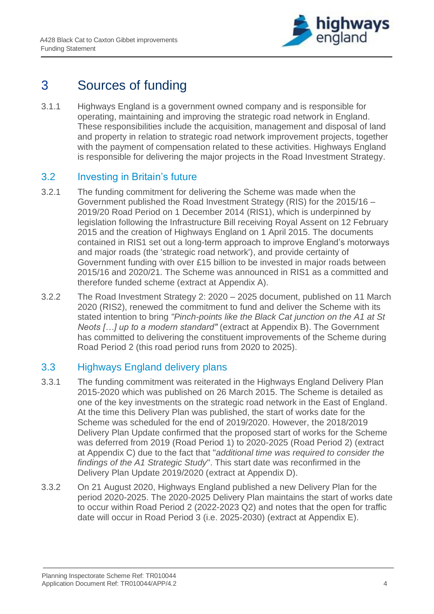

### <span id="page-5-0"></span>3 Sources of funding

3.1.1 Highways England is a government owned company and is responsible for operating, maintaining and improving the strategic road network in England. These responsibilities include the acquisition, management and disposal of land and property in relation to strategic road network improvement projects, together with the payment of compensation related to these activities. Highways England is responsible for delivering the major projects in the Road Investment Strategy.

#### <span id="page-5-1"></span>3.2 [Investing in Britain's future](http://share/Share/LLISAPI.dll/fetch/2000/32092/614403/619284/5203897/5203907/5203909/7362257/54659860/Investing_in_Britain_s_Future.pdf?nodeid=59532939&vernum=-2)

- 3.2.1 The funding commitment for delivering the Scheme was made when the Government published the Road Investment Strategy (RIS) for the 2015/16 – 2019/20 Road Period on 1 December 2014 (RIS1), which is underpinned by legislation following the Infrastructure Bill receiving Royal Assent on 12 February 2015 and the creation of Highways England on 1 April 2015. The documents contained in RIS1 set out a long-term approach to improve England's motorways and major roads (the 'strategic road network'), and provide certainty of Government funding with over £15 billion to be invested in major roads between 2015/16 and 2020/21. The Scheme was announced in RIS1 as a committed and therefore funded scheme (extract at Appendix A).
- 3.2.2 The Road Investment Strategy 2: 2020 2025 document, published on 11 March 2020 (RIS2), renewed the commitment to fund and deliver the Scheme with its stated intention to bring *"Pinch-points like the Black Cat junction on the A1 at St Neots […] up to a modern standard"* (extract at Appendix B). The Government has committed to delivering the constituent improvements of the Scheme during Road Period 2 (this road period runs from 2020 to 2025).

### <span id="page-5-2"></span>3.3 Highways England delivery plans

- 3.3.1 The funding commitment was reiterated in the Highways England Delivery Plan 2015-2020 which was published on 26 March 2015. The Scheme is detailed as one of the key investments on the strategic road network in the East of England. At the time this Delivery Plan was published, the start of works date for the Scheme was scheduled for the end of 2019/2020. However, the 2018/2019 Delivery Plan Update confirmed that the proposed start of works for the Scheme was deferred from 2019 (Road Period 1) to 2020-2025 (Road Period 2) (extract at Appendix C) due to the fact that "*additional time was required to consider the findings of the A1 Strategic Study*". This start date was reconfirmed in the Delivery Plan Update 2019/2020 (extract at Appendix D).
- 3.3.2 On 21 August 2020, Highways England published a new Delivery Plan for the period 2020-2025. The 2020-2025 Delivery Plan maintains the start of works date to occur within Road Period 2 (2022-2023 Q2) and notes that the open for traffic date will occur in Road Period 3 (i.e. 2025-2030) (extract at Appendix E).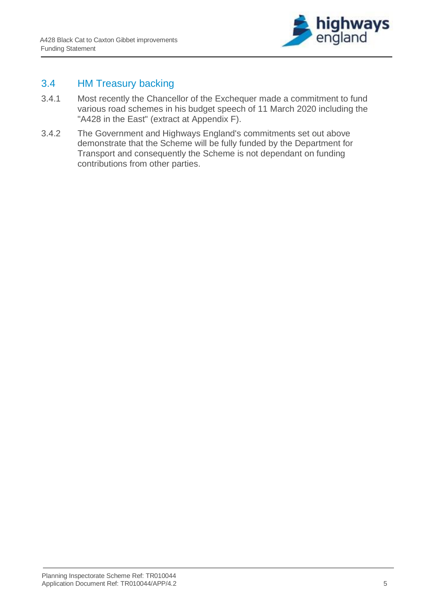

### <span id="page-6-0"></span>3.4 HM Treasury backing

- 3.4.1 Most recently the Chancellor of the Exchequer made a commitment to fund various road schemes in his budget speech of 11 March 2020 including the "A428 in the East" (extract at Appendix F).
- 3.4.2 The Government and Highways England's commitments set out above demonstrate that the Scheme will be fully funded by the Department for Transport and consequently the Scheme is not dependant on funding contributions from other parties.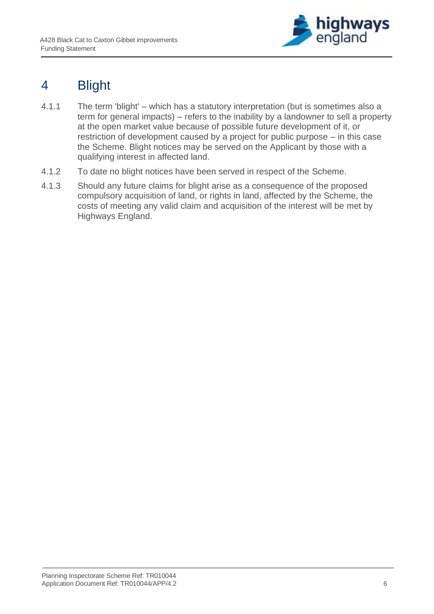

### <span id="page-7-0"></span>4 Blight

- 4.1.1 The term 'blight' which has a statutory interpretation (but is sometimes also a term for general impacts) – refers to the inability by a landowner to sell a property at the open market value because of possible future development of it, or restriction of development caused by a project for public purpose – in this case the Scheme. Blight notices may be served on the Applicant by those with a qualifying interest in affected land.
- 4.1.2 To date no blight notices have been served in respect of the Scheme.
- 4.1.3 Should any future claims for blight arise as a consequence of the proposed compulsory acquisition of land, or rights in land, affected by the Scheme, the costs of meeting any valid claim and acquisition of the interest will be met by Highways England.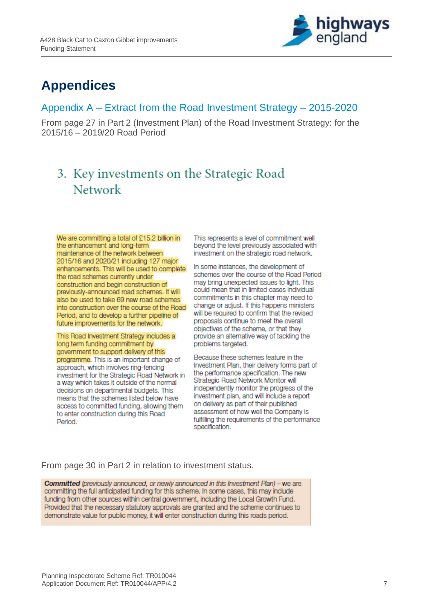

# <span id="page-8-0"></span>**Appendices**

### <span id="page-8-1"></span>Appendix A – Extract from the Road Investment Strategy – 2015-2020

From page 27 in Part 2 (Investment Plan) of the Road Investment Strategy: for the 2015/16 – 2019/20 Road Period

### 3. Key investments on the Strategic Road Network

We are committing a total of £15.2 billion in the enhancement and long-term maintenance of the network between 2015/16 and 2020/21 including 127 major enhancements. This will be used to complete the road schemes currently under construction and begin construction of previously-announced road schemes. It will also be used to take 69 new road schemes into construction over the course of the Road Period, and to develop a further pipeline of future improvements for the network.

This Road Investment Strategy includes a long term funding commitment by government to support delivery of this programme. This is an important change of approach, which involves ring-fencing investment for the Strategic Road Network in a way which takes it outside of the normal decisions on departmental budgets. This means that the schemes listed below have access to committed funding, allowing them to enter construction during this Road Period.

This represents a level of commitment well bevond the level previously associated with investment on the strategic road network.

In some instances, the development of schemes over the course of the Road Period may bring unexpected issues to light. This could mean that in limited cases individual commitments in this chapter may need to change or adjust. If this happens ministers will be required to confirm that the revised proposals continue to meet the overall objectives of the scheme, or that they provide an alternative way of tackling the problems targeted.

Because these schemes feature in the Investment Plan, their delivery forms part of the performance specification. The new Strategic Road Network Monitor will independently monitor the progress of the investment plan, and will include a report on delivery as part of their published assessment of how well the Company is fulfilling the requirements of the performance specification.

From page 30 in Part 2 in relation to investment status.

**Committed** (previously announced, or newly announced in this Investment Plan) - we are committing the full anticipated funding for this scheme. In some cases, this may include funding from other sources within central government, including the Local Growth Fund. Provided that the necessary statutory approvals are granted and the scheme continues to demonstrate value for public money, it will enter construction during this roads period.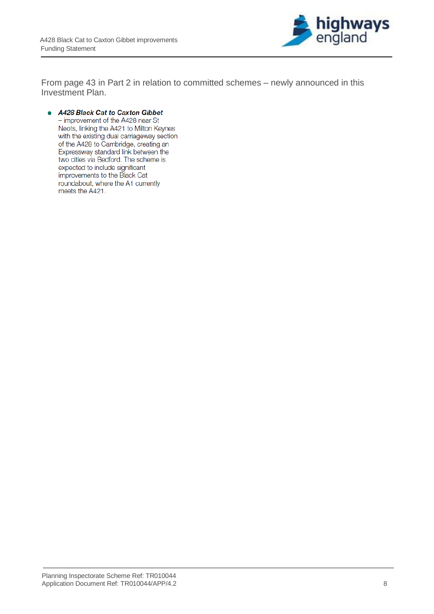

From page 43 in Part 2 in relation to committed schemes – newly announced in this Investment Plan.

#### • A428 Black Cat to Caxton Gibbet - improvement of the A428 near St

Neots, linking the A421 to Milton Keynes with the existing dual carriageway section of the A428 to Cambridge, creating an Expressway standard link between the two cities via Bedford. The scheme is expected to include significant improvements to the Black Cat roundabout, where the A1 currently meets the A421.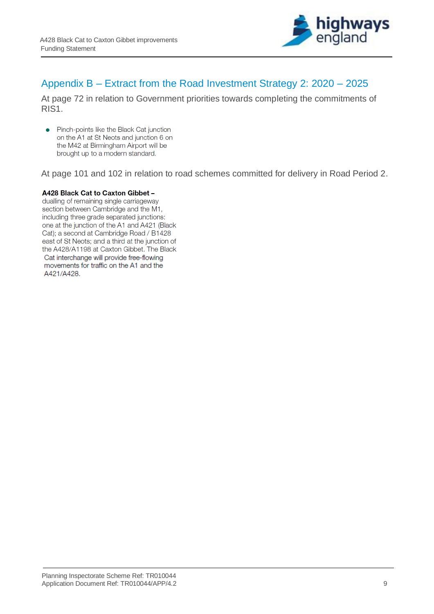

### <span id="page-10-0"></span>Appendix B – Extract from the Road Investment Strategy 2: 2020 – 2025

At page 72 in relation to Government priorities towards completing the commitments of RIS1.

Pinch-points like the Black Cat junction  $\bullet$ on the A1 at St Neots and junction 6 on the M42 at Birmingham Airport will be brought up to a modern standard.

At page 101 and 102 in relation to road schemes committed for delivery in Road Period 2.

#### A428 Black Cat to Caxton Gibbet -

dualling of remaining single carriageway section between Cambridge and the M1, including three grade separated junctions: one at the junction of the A1 and A421 (Black Cat); a second at Cambridge Road / B1428 east of St Neots; and a third at the junction of the A428/A1198 at Caxton Gibbet. The Black Cat interchange will provide free-flowing movements for traffic on the A1 and the A421/A428.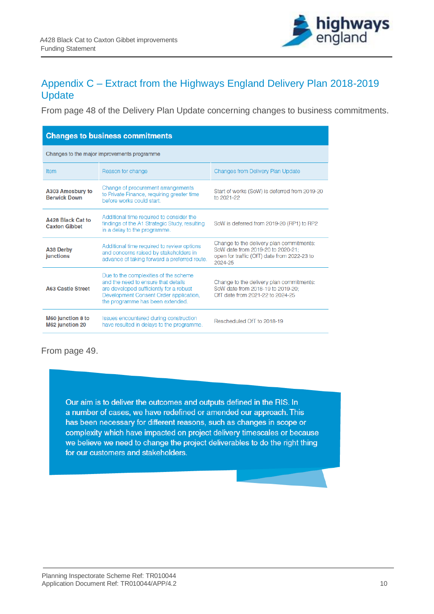

### <span id="page-11-0"></span>Appendix C – Extract from the Highways England Delivery Plan 2018-2019 **Update**

From page 48 of the Delivery Plan Update concerning changes to business commitments.

| <b>Changes to business commitments</b>      |                                                                                                                                                                                                       |                                                                                                                                         |  |  |
|---------------------------------------------|-------------------------------------------------------------------------------------------------------------------------------------------------------------------------------------------------------|-----------------------------------------------------------------------------------------------------------------------------------------|--|--|
| Changes to the major improvements programme |                                                                                                                                                                                                       |                                                                                                                                         |  |  |
| Item                                        | Reason for change                                                                                                                                                                                     | <b>Changes from Delivery Plan Update</b>                                                                                                |  |  |
| A303 Amesbury to<br><b>Berwick Down</b>     | Change of procurement arrangements<br>to Private Finance, requiring greater time<br>before works could start.                                                                                         | Start of works (SoW) is deferred from 2019-20<br>to 2021-22                                                                             |  |  |
| A428 Black Cat to<br><b>Caxton Gibbet</b>   | Additional time required to consider the<br>findings of the A1 Strategic Study, resulting<br>in a delay to the programme.                                                                             | SoW is deferred from 2019-20 (RP1) to RP2                                                                                               |  |  |
| A38 Derby<br>junctions                      | Additional time required to review options<br>and concerns raised by stakeholders in<br>advance of taking forward a preferred route.                                                                  | Change to the delivery plan commitments:<br>SoW date from 2019-20 to 2020-21:<br>open for traffic (OfT) date from 2022-23 to<br>2024-25 |  |  |
| <b>A63 Castle Street</b>                    | Due to the complexities of the scheme<br>and the need to ensure that details<br>are developed sufficiently for a robust<br>Development Consent Order application,<br>the programme has been extended. | Change to the delivery plan commitments:<br>SoW date from 2018-19 to 2019-20:<br>OfT date from 2021-22 to 2024-25                       |  |  |
| M60 junction 8 to<br>M62 junction 20        | Issues encountered during construction<br>have resulted in delays to the programme.                                                                                                                   | Rescheduled OfT to 2018-19                                                                                                              |  |  |

From page 49.

Our aim is to deliver the outcomes and outputs defined in the RIS. In a number of cases, we have redefined or amended our approach. This has been necessary for different reasons, such as changes in scope or complexity which have impacted on project delivery timescales or because we believe we need to change the project deliverables to do the right thing for our customers and stakeholders.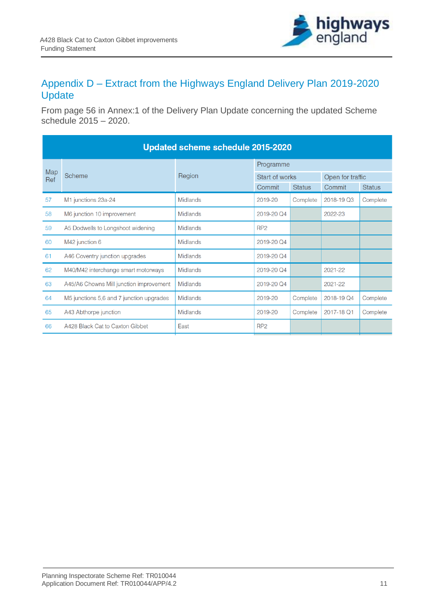

### <span id="page-12-0"></span>Appendix D – Extract from the Highways England Delivery Plan 2019-2020 **Update**

From page 56 in Annex:1 of the Delivery Plan Update concerning the updated Scheme schedule 2015 – 2020.

| Updated scheme schedule 2015-2020 |                                          |                 |                 |               |                  |               |
|-----------------------------------|------------------------------------------|-----------------|-----------------|---------------|------------------|---------------|
| Map<br>Ref                        | <b>Scheme</b>                            | Region          | Programme       |               |                  |               |
|                                   |                                          |                 | Start of works  |               | Open for traffic |               |
|                                   |                                          |                 | Commit          | <b>Status</b> | Commit           | <b>Status</b> |
| 57                                | M1 junctions 23a-24                      | Midlands        | 2019-20         | Complete      | 2018-19 Q3       | Complete      |
| 58                                | M6 junction 10 improvement               | <b>Midlands</b> | 2019-20 Q4      |               | 2022-23          |               |
| 59                                | A5 Dodwells to Longshoot widening        | <b>Midlands</b> | RP <sub>2</sub> |               |                  |               |
| 60                                | M42 junction 6                           | Midlands        | 2019-20 Q4      |               |                  |               |
| 61                                | A46 Coventry junction upgrades           | <b>Midlands</b> | 2019-20 Q4      |               |                  |               |
| 62                                | M40/M42 interchange smart motorways      | Midlands        | 2019-20 Q4      |               | 2021-22          |               |
| 63                                | A45/A6 Chowns Mill junction improvement  | <b>Midlands</b> | 2019-20 Q4      |               | 2021-22          |               |
| 64                                | M5 junctions 5,6 and 7 junction upgrades | Midlands        | 2019-20         | Complete      | 2018-19 Q4       | Complete      |
| 65                                | A43 Abthorpe junction                    | <b>Midlands</b> | 2019-20         | Complete      | 2017-18 Q1       | Complete      |
| 66                                | A428 Black Cat to Caxton Gibbet          | East            | RP <sub>2</sub> |               |                  |               |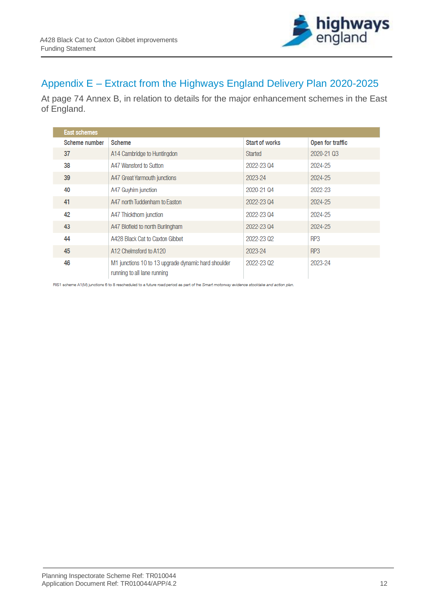

### <span id="page-13-0"></span>Appendix E – Extract from the Highways England Delivery Plan 2020-2025

At page 74 Annex B, in relation to details for the major enhancement schemes in the East of England.

| <b>East schemes</b> |                                                                                    |                       |                  |
|---------------------|------------------------------------------------------------------------------------|-----------------------|------------------|
| Scheme number       | <b>Scheme</b>                                                                      | <b>Start of works</b> | Open for traffic |
| 37                  | A14 Cambridge to Huntingdon                                                        | Started               | 2020-21 03       |
| 38                  | A47 Wansford to Sutton                                                             | 2022-23 04            | 2024-25          |
| 39                  | A47 Great Yarmouth junctions                                                       | 2023-24               | 2024-25          |
| 40                  | A47 Guyhirn junction                                                               | 2020-21 04            | 2022-23          |
| 41                  | A47 north Tuddenham to Faston                                                      | 2022-23.04            | 2024-25          |
| 42                  | A47 Thickthorn junction                                                            | 2022-23 04            | 2024-25          |
| 43                  | A47 Blofield to north Burlingham                                                   | 2022-23 04            | 2024-25          |
| 44                  | A428 Black Cat to Caxton Gibbet                                                    | 2022-23 02            | RP3              |
| 45                  | A12 Chelmsford to A120                                                             | 2023-24               | RP3              |
| 46                  | M1 junctions 10 to 13 upgrade dynamic hard shoulder<br>running to all lane running | 2022-23 02            | 2023-24          |

RIS1 scheme A1(M) junctions 6 to 8 rescheduled to a future road period as part of the Smart motonvay evidence stocktake and action plan.